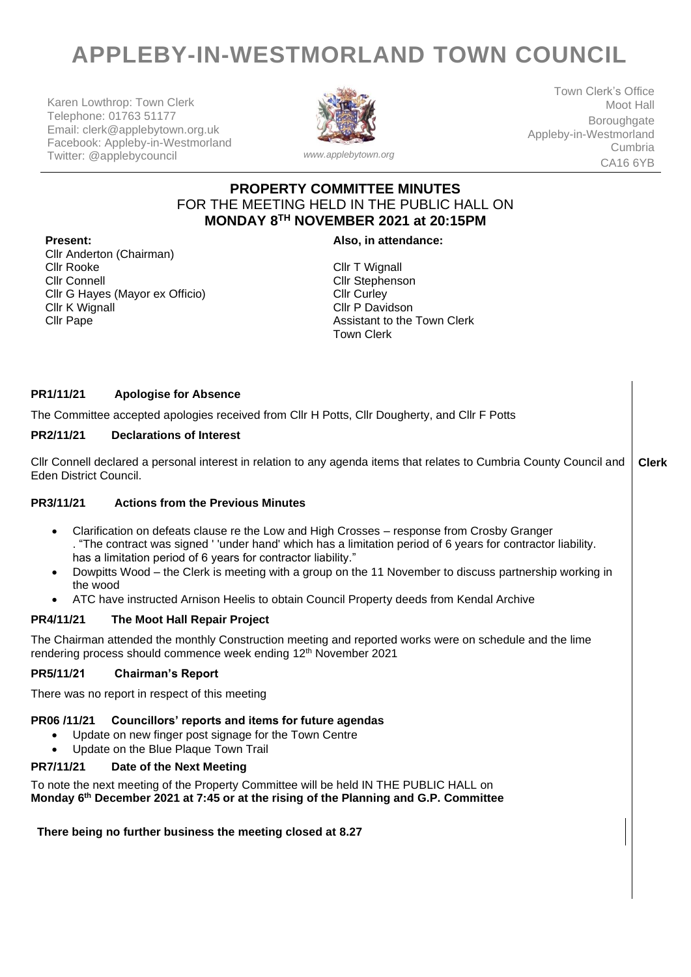# **APPLEBY-IN-WESTMORLAND TOWN COUNCIL**

Karen Lowthrop: Town Clerk Telephone: 01763 51177 Email: clerk@applebytown.org.uk Facebook: Appleby-in-Westmorland Twitter: @applebycouncil *www.applebytown.org*



Town Clerk's Office Moot Hall **Boroughgate** Appleby-in-Westmorland Cumbria CA16 6YB

## **PROPERTY COMMITTEE MINUTES** FOR THE MEETING HELD IN THE PUBLIC HALL ON **MONDAY 8 TH NOVEMBER 2021 at 20:15PM**

**Present: Also, in attendance:**

Cllr Anderton (Chairman) Cllr Connell Cllr G Hayes (Mayor ex Officio) Cllr K Wignall Cllr Pape

Cllr T Wignall Cllr Stephenson Cllr Curley Cllr P Davidson Assistant to the Town Clerk Town Clerk

### **PR1/11/21 Apologise for Absence**

The Committee accepted apologies received from Cllr H Potts, Cllr Dougherty, and Cllr F Potts

#### **PR2/11/21 Declarations of Interest**

Cllr Connell declared a personal interest in relation to any agenda items that relates to Cumbria County Council and Eden District Council. **Clerk**

#### **PR3/11/21 Actions from the Previous Minutes**

- Clarification on defeats clause re the Low and High Crosses response from Crosby Granger . "The contract was signed ' 'under hand' which has a limitation period of 6 years for contractor liability. has a limitation period of 6 years for contractor liability."
- Dowpitts Wood the Clerk is meeting with a group on the 11 November to discuss partnership working in the wood
- ATC have instructed Arnison Heelis to obtain Council Property deeds from Kendal Archive

#### **PR4/11/21 The Moot Hall Repair Project**

The Chairman attended the monthly Construction meeting and reported works were on schedule and the lime rendering process should commence week ending 12<sup>th</sup> November 2021

#### **PR5/11/21 Chairman's Report**

There was no report in respect of this meeting

#### **PR06 /11/21 Councillors' reports and items for future agendas**

- Update on new finger post signage for the Town Centre
- Update on the Blue Plaque Town Trail

#### **PR7/11/21 Date of the Next Meeting**

To note the next meeting of the Property Committee will be held IN THE PUBLIC HALL on **Monday 6 th December 2021 at 7:45 or at the rising of the Planning and G.P. Committee**

#### **There being no further business the meeting closed at 8.27**